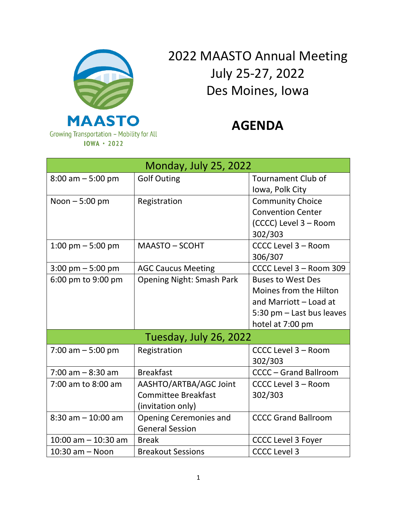

## 2022 MAASTO Annual Meeting July 25-27, 2022 Des Moines, Iowa

## **AGENDA**

| <b>Monday, July 25, 2022</b>        |                                  |                              |
|-------------------------------------|----------------------------------|------------------------------|
| $8:00$ am $-5:00$ pm                | <b>Golf Outing</b>               | <b>Tournament Club of</b>    |
|                                     |                                  | Iowa, Polk City              |
| Noon $-5:00$ pm                     | Registration                     | <b>Community Choice</b>      |
|                                     |                                  | <b>Convention Center</b>     |
|                                     |                                  | (CCCC) Level 3 - Room        |
|                                     |                                  | 302/303                      |
| $1:00 \text{ pm} - 5:00 \text{ pm}$ | <b>MAASTO - SCOHT</b>            | CCCC Level 3 - Room          |
|                                     |                                  | 306/307                      |
| $3:00 \text{ pm} - 5:00 \text{ pm}$ | <b>AGC Caucus Meeting</b>        | CCCC Level 3 - Room 309      |
| 6:00 pm to 9:00 pm                  | <b>Opening Night: Smash Park</b> | <b>Buses to West Des</b>     |
|                                     |                                  | Moines from the Hilton       |
|                                     |                                  | and Marriott - Load at       |
|                                     |                                  | 5:30 pm - Last bus leaves    |
|                                     |                                  | hotel at 7:00 pm             |
| Tuesday, July 26, 2022              |                                  |                              |
| 7:00 am $-5:00$ pm                  | Registration                     | CCCC Level 3 - Room          |
|                                     |                                  | 302/303                      |
| $7:00$ am $-8:30$ am                | <b>Breakfast</b>                 | <b>CCCC - Grand Ballroom</b> |
| 7:00 am to 8:00 am                  | AASHTO/ARTBA/AGC Joint           | CCCC Level 3 - Room          |
|                                     | <b>Committee Breakfast</b>       | 302/303                      |
|                                     | (invitation only)                |                              |
| $8:30$ am $-10:00$ am               | <b>Opening Ceremonies and</b>    | <b>CCCC Grand Ballroom</b>   |
|                                     | <b>General Session</b>           |                              |
| $10:00$ am $-10:30$ am              | <b>Break</b>                     | <b>CCCC Level 3 Foyer</b>    |
| $10:30$ am $-$ Noon                 | <b>Breakout Sessions</b>         | <b>CCCC Level 3</b>          |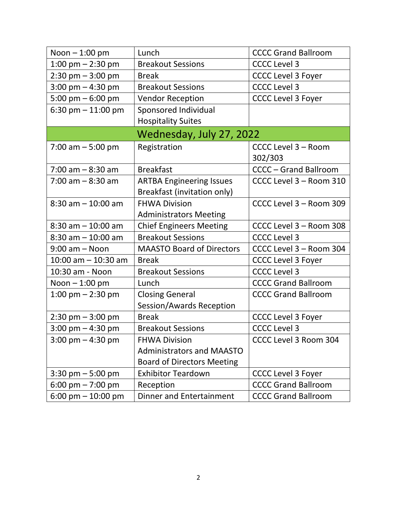| Noon $-1:00$ pm                     | Lunch                             | <b>CCCC Grand Ballroom</b>   |
|-------------------------------------|-----------------------------------|------------------------------|
| 1:00 pm $-$ 2:30 pm                 | <b>Breakout Sessions</b>          | <b>CCCC Level 3</b>          |
| $2:30 \text{ pm} - 3:00 \text{ pm}$ | <b>Break</b>                      | <b>CCCC Level 3 Foyer</b>    |
| $3:00 \text{ pm} - 4:30 \text{ pm}$ | <b>Breakout Sessions</b>          | <b>CCCC Level 3</b>          |
| 5:00 pm $-$ 6:00 pm                 | <b>Vendor Reception</b>           | <b>CCCC Level 3 Foyer</b>    |
| 6:30 pm $-$ 11:00 pm                | Sponsored Individual              |                              |
|                                     | <b>Hospitality Suites</b>         |                              |
|                                     | Wednesday, July 27, 2022          |                              |
| 7:00 am $-5:00$ pm                  | Registration                      | CCCC Level 3 - Room          |
|                                     |                                   | 302/303                      |
| $7:00$ am $-8:30$ am                | <b>Breakfast</b>                  | <b>CCCC - Grand Ballroom</b> |
| $7:00$ am $-8:30$ am                | <b>ARTBA Engineering Issues</b>   | CCCC Level 3 - Room 310      |
|                                     | Breakfast (invitation only)       |                              |
| $8:30$ am $-10:00$ am               | <b>FHWA Division</b>              | CCCC Level 3 - Room 309      |
|                                     | <b>Administrators Meeting</b>     |                              |
| $8:30$ am $-10:00$ am               | <b>Chief Engineers Meeting</b>    | CCCC Level 3 - Room 308      |
| $8:30$ am $-10:00$ am               | <b>Breakout Sessions</b>          | <b>CCCC Level 3</b>          |
| $9:00$ am $-$ Noon                  | <b>MAASTO Board of Directors</b>  | CCCC Level 3 - Room 304      |
| $10:00$ am $- 10:30$ am             | <b>Break</b>                      | <b>CCCC Level 3 Foyer</b>    |
| 10:30 am - Noon                     | <b>Breakout Sessions</b>          | <b>CCCC Level 3</b>          |
| Noon $-1:00$ pm                     | Lunch                             | <b>CCCC Grand Ballroom</b>   |
| 1:00 pm $-$ 2:30 pm                 | <b>Closing General</b>            | <b>CCCC Grand Ballroom</b>   |
|                                     | Session/Awards Reception          |                              |
| $2:30 \text{ pm} - 3:00 \text{ pm}$ | <b>Break</b>                      | <b>CCCC Level 3 Foyer</b>    |
| $3:00$ pm $-4:30$ pm                | <b>Breakout Sessions</b>          | <b>CCCC Level 3</b>          |
| $3:00 \text{ pm} - 4:30 \text{ pm}$ | <b>FHWA Division</b>              | CCCC Level 3 Room 304        |
|                                     | <b>Administrators and MAASTO</b>  |                              |
|                                     | <b>Board of Directors Meeting</b> |                              |
| $3:30$ pm $-5:00$ pm                | <b>Exhibitor Teardown</b>         | <b>CCCC Level 3 Foyer</b>    |
| 6:00 pm $- 7:00$ pm                 | Reception                         | <b>CCCC Grand Ballroom</b>   |
| 6:00 pm $-$ 10:00 pm                | <b>Dinner and Entertainment</b>   | <b>CCCC Grand Ballroom</b>   |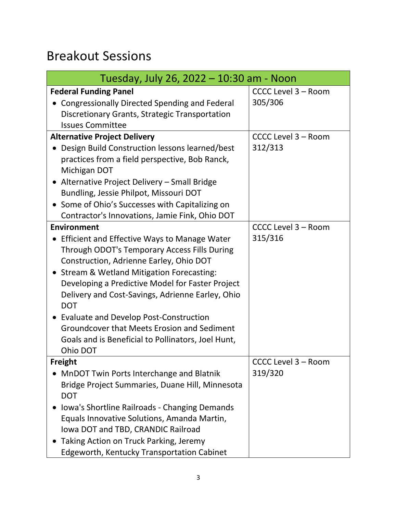## Breakout Sessions

| Tuesday, July 26, 2022 – 10:30 am - Noon                                                                                                                                                                                                                                                                                                                                                                                                                                                     |                                |  |
|----------------------------------------------------------------------------------------------------------------------------------------------------------------------------------------------------------------------------------------------------------------------------------------------------------------------------------------------------------------------------------------------------------------------------------------------------------------------------------------------|--------------------------------|--|
| <b>Federal Funding Panel</b><br><b>Congressionally Directed Spending and Federal</b><br>Discretionary Grants, Strategic Transportation<br><b>Issues Committee</b>                                                                                                                                                                                                                                                                                                                            | CCCC Level 3 - Room<br>305/306 |  |
| <b>Alternative Project Delivery</b><br>Design Build Construction lessons learned/best<br>practices from a field perspective, Bob Ranck,<br>Michigan DOT<br>• Alternative Project Delivery - Small Bridge<br>Bundling, Jessie Philpot, Missouri DOT<br>• Some of Ohio's Successes with Capitalizing on<br>Contractor's Innovations, Jamie Fink, Ohio DOT                                                                                                                                      | CCCC Level 3 - Room<br>312/313 |  |
| Environment<br>Efficient and Effective Ways to Manage Water<br>Through ODOT's Temporary Access Fills During<br>Construction, Adrienne Earley, Ohio DOT<br>• Stream & Wetland Mitigation Forecasting:<br>Developing a Predictive Model for Faster Project<br>Delivery and Cost-Savings, Adrienne Earley, Ohio<br><b>DOT</b><br><b>Evaluate and Develop Post-Construction</b><br>Groundcover that Meets Erosion and Sediment<br>Goals and is Beneficial to Pollinators, Joel Hunt,<br>Ohio DOT | CCCC Level 3 - Room<br>315/316 |  |
| <b>Freight</b><br>MnDOT Twin Ports Interchange and Blatnik<br>Bridge Project Summaries, Duane Hill, Minnesota<br><b>DOT</b><br>Iowa's Shortline Railroads - Changing Demands<br>Equals Innovative Solutions, Amanda Martin,<br>Iowa DOT and TBD, CRANDIC Railroad<br>Taking Action on Truck Parking, Jeremy<br><b>Edgeworth, Kentucky Transportation Cabinet</b>                                                                                                                             | CCCC Level 3 - Room<br>319/320 |  |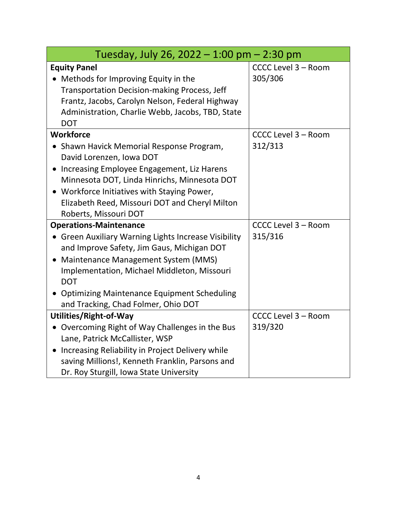| Tuesday, July 26, 2022 - 1:00 pm $-$ 2:30 pm                                                                                                                                                                                                                                                                                              |                                |  |
|-------------------------------------------------------------------------------------------------------------------------------------------------------------------------------------------------------------------------------------------------------------------------------------------------------------------------------------------|--------------------------------|--|
| <b>Equity Panel</b><br>• Methods for Improving Equity in the<br><b>Transportation Decision-making Process, Jeff</b><br>Frantz, Jacobs, Carolyn Nelson, Federal Highway<br>Administration, Charlie Webb, Jacobs, TBD, State<br><b>DOT</b>                                                                                                  | CCCC Level 3 - Room<br>305/306 |  |
| <b>Workforce</b><br>Shawn Havick Memorial Response Program,<br>David Lorenzen, Iowa DOT<br>Increasing Employee Engagement, Liz Harens<br>Minnesota DOT, Linda Hinrichs, Minnesota DOT<br>• Workforce Initiatives with Staying Power,<br>Elizabeth Reed, Missouri DOT and Cheryl Milton<br>Roberts, Missouri DOT                           | CCCC Level 3 - Room<br>312/313 |  |
| <b>Operations-Maintenance</b><br><b>Green Auxiliary Warning Lights Increase Visibility</b><br>and Improve Safety, Jim Gaus, Michigan DOT<br>Maintenance Management System (MMS)<br>Implementation, Michael Middleton, Missouri<br><b>DOT</b><br><b>Optimizing Maintenance Equipment Scheduling</b><br>and Tracking, Chad Folmer, Ohio DOT | CCCC Level 3 - Room<br>315/316 |  |
| Utilities/Right-of-Way<br>Overcoming Right of Way Challenges in the Bus<br>$\bullet$<br>Lane, Patrick McCallister, WSP<br>Increasing Reliability in Project Delivery while<br>saving Millions!, Kenneth Franklin, Parsons and<br>Dr. Roy Sturgill, Iowa State University                                                                  | CCCC Level 3 - Room<br>319/320 |  |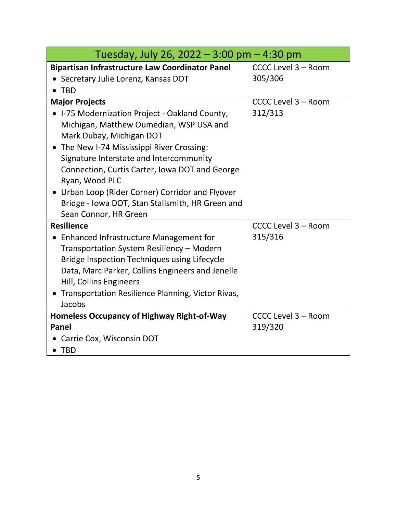| Tuesday, July 26, 2022 - 3:00 pm $-$ 4:30 pm           |                     |  |
|--------------------------------------------------------|---------------------|--|
| <b>Bipartisan Infrastructure Law Coordinator Panel</b> | CCCC Level 3 - Room |  |
| • Secretary Julie Lorenz, Kansas DOT                   | 305/306             |  |
| $\bullet$ TBD                                          |                     |  |
| <b>Major Projects</b>                                  | CCCC Level 3 - Room |  |
| • I-75 Modernization Project - Oakland County,         | 312/313             |  |
| Michigan, Matthew Oumedian, WSP USA and                |                     |  |
| Mark Dubay, Michigan DOT                               |                     |  |
| • The New I-74 Mississippi River Crossing:             |                     |  |
| Signature Interstate and Intercommunity                |                     |  |
| Connection, Curtis Carter, Iowa DOT and George         |                     |  |
| Ryan, Wood PLC                                         |                     |  |
| • Urban Loop (Rider Corner) Corridor and Flyover       |                     |  |
| Bridge - Iowa DOT, Stan Stallsmith, HR Green and       |                     |  |
| Sean Connor, HR Green                                  |                     |  |
| <b>Resilience</b>                                      | CCCC Level 3 - Room |  |
| Enhanced Infrastructure Management for                 | 315/316             |  |
| Transportation System Resiliency - Modern              |                     |  |
| Bridge Inspection Techniques using Lifecycle           |                     |  |
| Data, Marc Parker, Collins Engineers and Jenelle       |                     |  |
| Hill, Collins Engineers                                |                     |  |
| • Transportation Resilience Planning, Victor Rivas,    |                     |  |
| Jacobs                                                 |                     |  |
| <b>Homeless Occupancy of Highway Right-of-Way</b>      | CCCC Level 3 - Room |  |
| Panel                                                  | 319/320             |  |
| • Carrie Cox, Wisconsin DOT                            |                     |  |
| $\bullet$ TBD                                          |                     |  |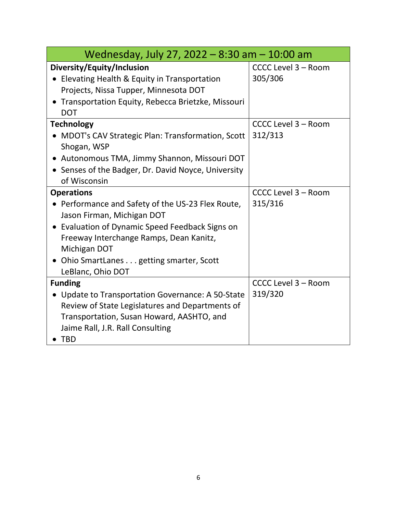| Wednesday, July 27, 2022 - 8:30 am - 10:00 am                                                                                                                                                                                                                                       |                                |  |
|-------------------------------------------------------------------------------------------------------------------------------------------------------------------------------------------------------------------------------------------------------------------------------------|--------------------------------|--|
| Diversity/Equity/Inclusion<br>Elevating Health & Equity in Transportation<br>Projects, Nissa Tupper, Minnesota DOT<br>Transportation Equity, Rebecca Brietzke, Missouri<br><b>DOT</b>                                                                                               | CCCC Level 3 - Room<br>305/306 |  |
| <b>Technology</b><br><b>MDOT's CAV Strategic Plan: Transformation, Scott</b><br>Shogan, WSP<br>• Autonomous TMA, Jimmy Shannon, Missouri DOT<br>Senses of the Badger, Dr. David Noyce, University<br>of Wisconsin                                                                   | CCCC Level 3 - Room<br>312/313 |  |
| <b>Operations</b><br>• Performance and Safety of the US-23 Flex Route,<br>Jason Firman, Michigan DOT<br>• Evaluation of Dynamic Speed Feedback Signs on<br>Freeway Interchange Ramps, Dean Kanitz,<br>Michigan DOT<br>• Ohio SmartLanes getting smarter, Scott<br>LeBlanc, Ohio DOT | CCCC Level 3 - Room<br>315/316 |  |
| <b>Funding</b><br>• Update to Transportation Governance: A 50-State<br>Review of State Legislatures and Departments of<br>Transportation, Susan Howard, AASHTO, and<br>Jaime Rall, J.R. Rall Consulting<br><b>TBD</b>                                                               | CCCC Level 3 - Room<br>319/320 |  |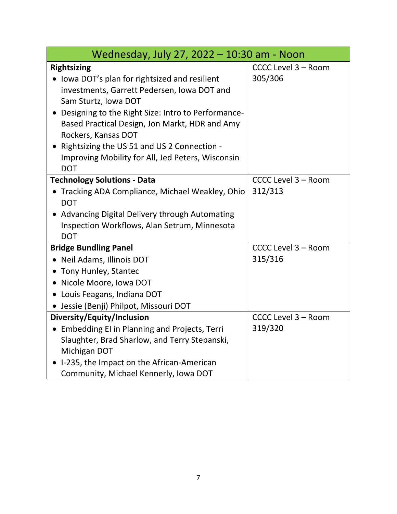| Wednesday, July 27, 2022 - 10:30 am - Noon                                                                                                                                                                                                                                                                                                                                                   |                                |  |
|----------------------------------------------------------------------------------------------------------------------------------------------------------------------------------------------------------------------------------------------------------------------------------------------------------------------------------------------------------------------------------------------|--------------------------------|--|
| <b>Rightsizing</b><br>• Iowa DOT's plan for rightsized and resilient<br>investments, Garrett Pedersen, Iowa DOT and<br>Sam Sturtz, Iowa DOT<br>Designing to the Right Size: Intro to Performance-<br>Based Practical Design, Jon Markt, HDR and Amy<br>Rockers, Kansas DOT<br>Rightsizing the US 51 and US 2 Connection -<br>Improving Mobility for All, Jed Peters, Wisconsin<br><b>DOT</b> | CCCC Level 3 - Room<br>305/306 |  |
| <b>Technology Solutions - Data</b><br>Tracking ADA Compliance, Michael Weakley, Ohio<br><b>DOT</b><br>• Advancing Digital Delivery through Automating<br>Inspection Workflows, Alan Setrum, Minnesota<br><b>DOT</b>                                                                                                                                                                          | CCCC Level 3 - Room<br>312/313 |  |
| <b>Bridge Bundling Panel</b><br>Neil Adams, Illinois DOT<br>• Tony Hunley, Stantec<br>• Nicole Moore, Iowa DOT<br>• Louis Feagans, Indiana DOT<br>· Jessie (Benji) Philpot, Missouri DOT                                                                                                                                                                                                     | CCCC Level 3 - Room<br>315/316 |  |
| Diversity/Equity/Inclusion<br>• Embedding EI in Planning and Projects, Terri<br>Slaughter, Brad Sharlow, and Terry Stepanski,<br>Michigan DOT<br>I-235, the Impact on the African-American<br>Community, Michael Kennerly, Iowa DOT                                                                                                                                                          | CCCC Level 3 - Room<br>319/320 |  |